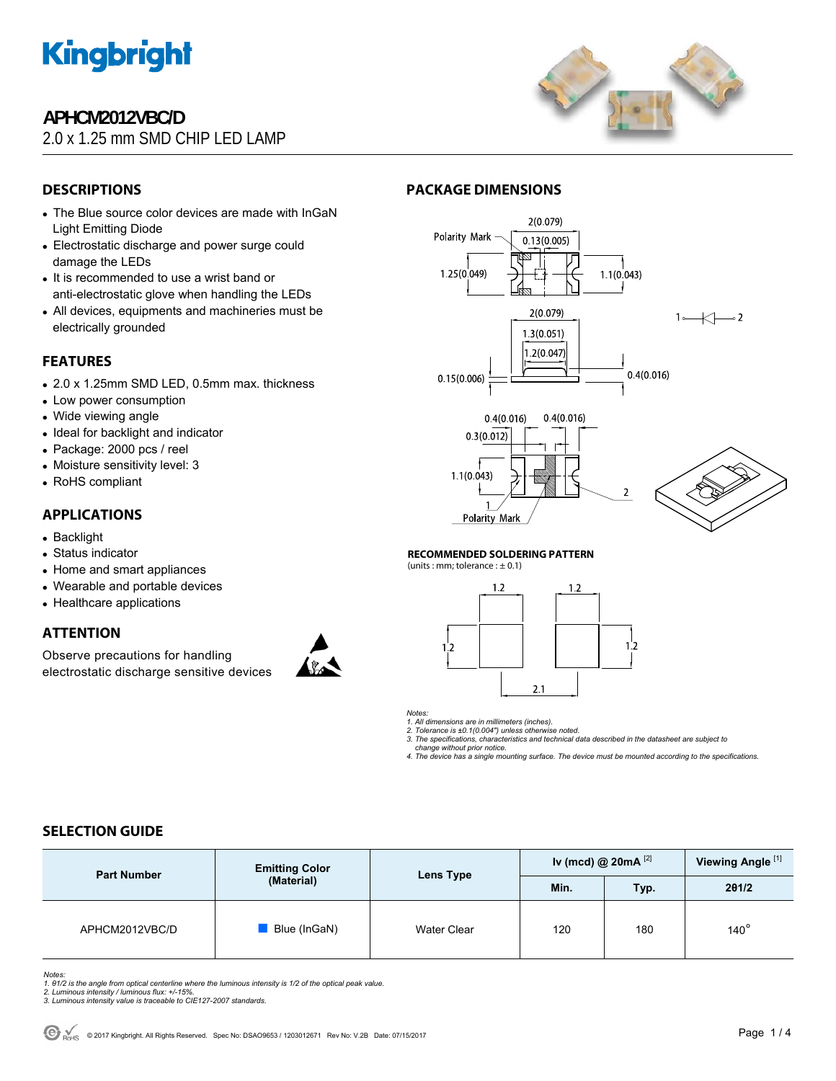

# **APHCM2012VBC/D**

# 2.0 x 1.25 mm SMD CHIP LED LAMP



# **DESCRIPTIONS**

- The Blue source color devices are made with InGaN Light Emitting Diode
- Electrostatic discharge and power surge could damage the LEDs
- It is recommended to use a wrist band or anti-electrostatic glove when handling the LEDs
- All devices, equipments and machineries must be electrically grounded

# **FEATURES**

- 2.0 x 1.25mm SMD LED, 0.5mm max. thickness
- Low power consumption
- Wide viewing angle
- Ideal for backlight and indicator
- Package: 2000 pcs / reel
- Moisture sensitivity level: 3
- RoHS compliant

# **APPLICATIONS**

- Backlight
- Status indicator
- Home and smart appliances
- Wearable and portable devices
- Healthcare applications

# **ATTENTION**

Observe precautions for handling electrostatic discharge sensitive devices



# **PACKAGE DIMENSIONS**



#### **RECOMMENDED SOLDERING PATTERN**

(units : mm; tolerance :  $\pm$  0.1)





*1. All dimensions are in millimeters (inches). 2. Tolerance is ±0.1(0.004") unless otherwise noted.* 

*3. The specifications, characteristics and technical data described in the datasheet are subject to* 

 *change without prior notice.* 

*4. The device has a single mounting surface. The device must be mounted according to the specifications.* 

# **SELECTION GUIDE**

| <b>Part Number</b> | <b>Emitting Color</b><br>(Material) | Lens Type   | Iv (mcd) @ 20mA $^{[2]}$ |      | Viewing Angle <sup>[1]</sup> |
|--------------------|-------------------------------------|-------------|--------------------------|------|------------------------------|
|                    |                                     |             | Min.                     | Typ. | 201/2                        |
| APHCM2012VBC/D     | Blue (InGaN)                        | Water Clear | 120                      | 180  | $140^\circ$                  |

*Notes:* 

*1. θ1/2 is the angle from optical centerline where the luminous intensity is 1/2 of the optical peak value. 2. Luminous intensity / luminous flux: +/-15%.* 

*3. Luminous intensity value is traceable to CIE127-2007 standards.*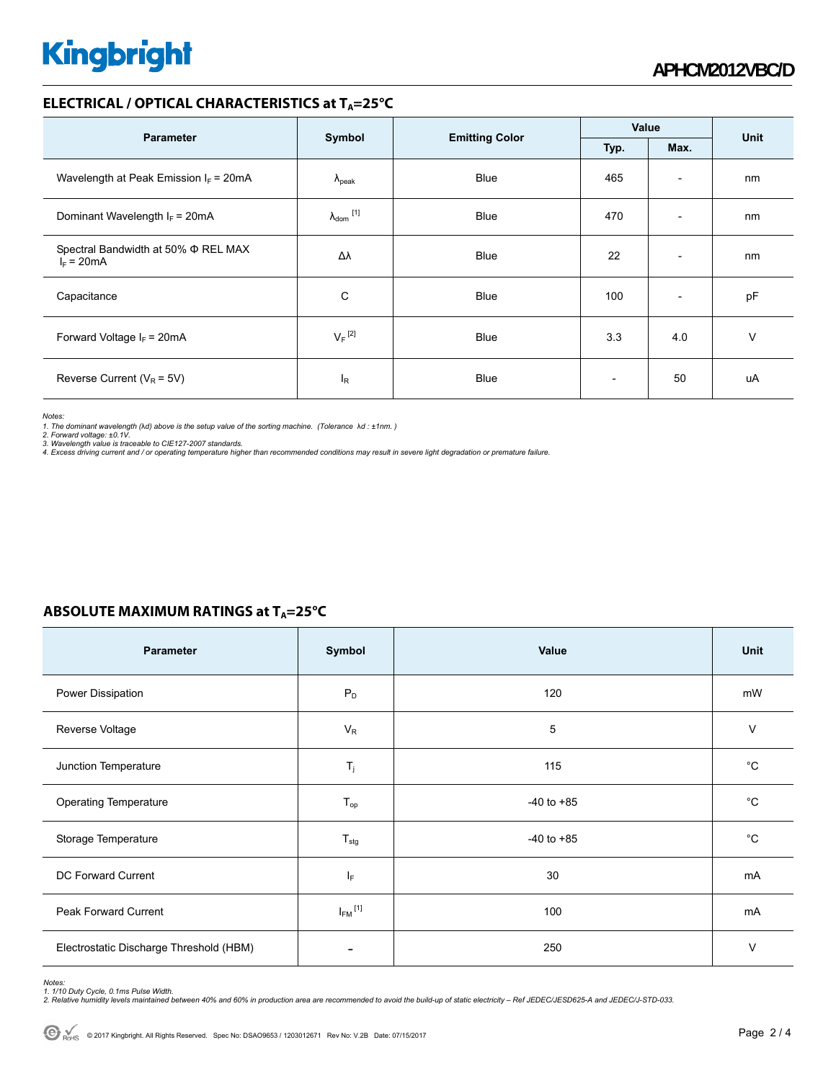# **Kingbright**

# **ELECTRICAL / OPTICAL CHARACTERISTICS at T<sub>A</sub>=25°C**

|                                                          |                            |                       | Value                    |                          | <b>Unit</b> |
|----------------------------------------------------------|----------------------------|-----------------------|--------------------------|--------------------------|-------------|
| <b>Parameter</b>                                         | Symbol                     | <b>Emitting Color</b> | Max.<br>Typ.             |                          |             |
| Wavelength at Peak Emission $I_F$ = 20mA                 | $\Lambda_{\rm peak}$       | <b>Blue</b>           | 465                      | $\overline{\phantom{a}}$ | nm          |
| Dominant Wavelength $I_F = 20 \text{mA}$                 | $\lambda_{\text{dom}}$ [1] | <b>Blue</b>           | 470                      | $\overline{\phantom{a}}$ | nm          |
| Spectral Bandwidth at 50% $\Phi$ REL MAX<br>$I_F = 20mA$ | Δλ                         | <b>Blue</b>           | 22                       | $\overline{\phantom{a}}$ | nm          |
| Capacitance                                              | C                          | Blue                  | 100                      | $\overline{\phantom{a}}$ | pF          |
| Forward Voltage $I_F = 20mA$                             | $V_F$ <sup>[2]</sup>       | <b>Blue</b>           | 3.3                      | 4.0                      | $\vee$      |
| Reverse Current ( $V_R$ = 5V)                            | <sup>I</sup> R             | <b>Blue</b>           | $\overline{\phantom{a}}$ | 50                       | uA          |

*Notes:* 

1. The dominant wavelength (λd) above is the setup value of the sorting machine. (Tolerance λd : ±1nm. )<br>2. Forward voltage: ±0.1V.<br>3. Wavelength value is traceable to CIE127-2007 standards.

*4. Excess driving current and / or operating temperature higher than recommended conditions may result in severe light degradation or premature failure.* 

# **ABSOLUTE MAXIMUM RATINGS at T<sub>A</sub>=25°C**

| <b>Parameter</b>                        | Symbol                   | <b>Value</b>   | Unit        |
|-----------------------------------------|--------------------------|----------------|-------------|
| Power Dissipation                       | $P_D$                    | 120            | mW          |
| Reverse Voltage                         | $V_R$                    | 5              | $\vee$      |
| Junction Temperature                    | $T_j$                    | 115            | $^{\circ}C$ |
| <b>Operating Temperature</b>            | $T_{op}$                 | $-40$ to $+85$ | °C          |
| Storage Temperature                     | $T_{\text{stg}}$         | $-40$ to $+85$ | $^{\circ}C$ |
| <b>DC Forward Current</b>               | ΙF                       | 30             | mA          |
| <b>Peak Forward Current</b>             | $I_{FM}$ <sup>[1]</sup>  | 100            | mA          |
| Electrostatic Discharge Threshold (HBM) | $\overline{\phantom{0}}$ | 250            | $\vee$      |

Notes:<br>1. 1/10 Duty Cycle, 0.1ms Pulse Width.<br>2. Relative humidity levels maintained between 40% and 60% in production area are recommended to avoid the build-up of static electricity – Ref JEDEC/JESD625-A and JEDEC/J-STD-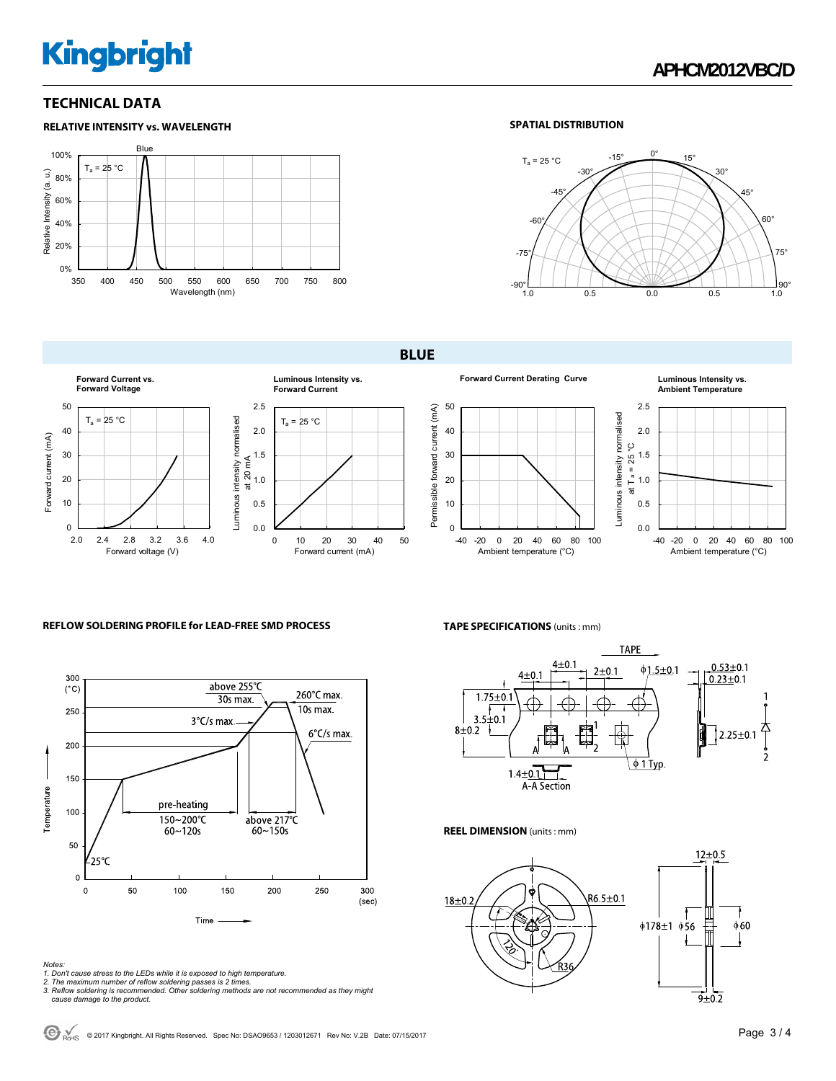# **Kingbright**

# **APHCM2012VBC/D**

# **TECHNICAL DATA**



## **SPATIAL DISTRIBUTION**



**BLUE** 







#### **Forward Current Derating Curve Luminous Intensity vs. Ambient Temperature**



### **REFLOW SOLDERING PROFILE for LEAD-FREE SMD PROCESS**



- 
- 
- Notes:<br>1. Don't cause stress to the LEDs while it is exposed to high temperature.<br>2. The maximum number of reflow soldering passes is 2 times.<br>3. Reflow soldering is recommended. Other soldering methods are not recommended

#### **TAPE SPECIFICATIONS** (units : mm)



#### **REEL DIMENSION** (units : mm)



 $\bigodot$  <sub>RoHS</sub> © 2017 Kingbright. All Rights Reserved. Spec No: DSAO9653 / 1203012671 Rev No: V.2B Date: 07/15/2017